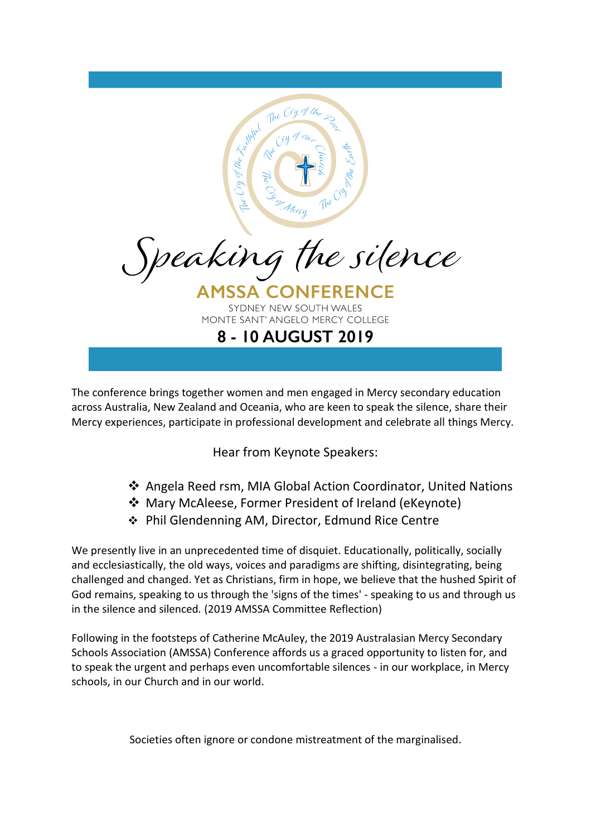

The conference brings together women and men engaged in Mercy secondary education across Australia, New Zealand and Oceania, who are keen to speak the silence, share their Mercy experiences, participate in professional development and celebrate all things Mercy.

Hear from Keynote Speakers:

- Angela Reed rsm, MIA Global Action Coordinator, United Nations
- Mary McAleese, Former President of Ireland (eKeynote)
- Phil Glendenning AM, Director, Edmund Rice Centre

We presently live in an unprecedented time of disquiet. Educationally, politically, socially and ecclesiastically, the old ways, voices and paradigms are shifting, disintegrating, being challenged and changed. Yet as Christians, firm in hope, we believe that the hushed Spirit of God remains, speaking to us through the 'signs of the times' - speaking to us and through us in the silence and silenced*.* (2019 AMSSA Committee Reflection)

Following in the footsteps of Catherine McAuley, the 2019 Australasian Mercy Secondary Schools Association (AMSSA) Conference affords us a graced opportunity to listen for, and to speak the urgent and perhaps even uncomfortable silences - in our workplace, in Mercy schools, in our Church and in our world.

Societies often ignore or condone mistreatment of the marginalised.